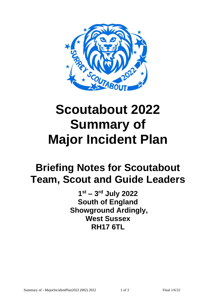

# **Scoutabout 2022 Summary of Major Incident Plan**

## **Briefing Notes for Scoutabout Team, Scout and Guide Leaders**

**1 st – 3 rd July 2022 South of England Showground Ardingly, West Sussex RH17 6TL**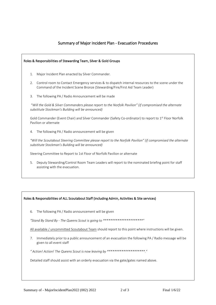### Summary of Major Incident Plan - Evacuation Procedures

| Roles & Responsibilities of Stewarding Team, Silver & Gold Groups                                                                                                 |                                                                                                                                                                                    |
|-------------------------------------------------------------------------------------------------------------------------------------------------------------------|------------------------------------------------------------------------------------------------------------------------------------------------------------------------------------|
| 1.                                                                                                                                                                | Major Incident Plan enacted by Silver Commander.                                                                                                                                   |
| 2.                                                                                                                                                                | Control room to Contact Emergency services & to dispatch internal resources to the scene under the<br>Command of the Incident Scene Bronze (Stewarding/Fire/First Aid Team Leader) |
| 3.                                                                                                                                                                | The following PA / Radio Announcement will be made                                                                                                                                 |
| "Will the Gold & Silver Commanders please report to the Norfolk Pavilion" (if compromised the alternate<br>substitute Stockman's Building will be announced)      |                                                                                                                                                                                    |
| Gold Commander (Event Chair) and Silver Commander (Safety Co-ordinator) to report to 1 <sup>st</sup> Floor Norfolk<br>Pavilion or alternate                       |                                                                                                                                                                                    |
| 4.                                                                                                                                                                | The following PA / Radio announcement will be given                                                                                                                                |
| "Will the Scoutabout Steering Committee please report to the Norfolk Pavilion" (if compromised the alternate<br>substitute Stockman's Building will be announced) |                                                                                                                                                                                    |
| Steering Committee to Report to 1st Floor of Norfolk Pavilion or alternate                                                                                        |                                                                                                                                                                                    |
| 5.                                                                                                                                                                | Deputy Stewarding/Control Room Team Leaders will report to the nominated briefing point for staff<br>assisting with the evacuation.                                                |

#### Roles & Responsibilities of ALL Scoutabout Staff (including Admin, Activities & Site services)

6. The following PA / Radio announcement will be given

*"Stand By Stand By - The Queens Scout is going to \*\*\*\*\*\*\*\*\*\*\*\*\*\*\*\*\*\*\*\*\*\*"*

All available / uncommitted Scoutabout Team should report to this point where instructions will be given.

7. Immediately prior to a public announcement of an evacuation the following PA / Radio message will be given to all event staff

*" Action! Action! The Queens Scout is now leaving by \*\*\*\*\*\*\*\*\*\*\*\*\*\*\*\*\*\*\*\*\*."* 

Detailed staff should assist with an orderly evacuation via the gate/gates named above.